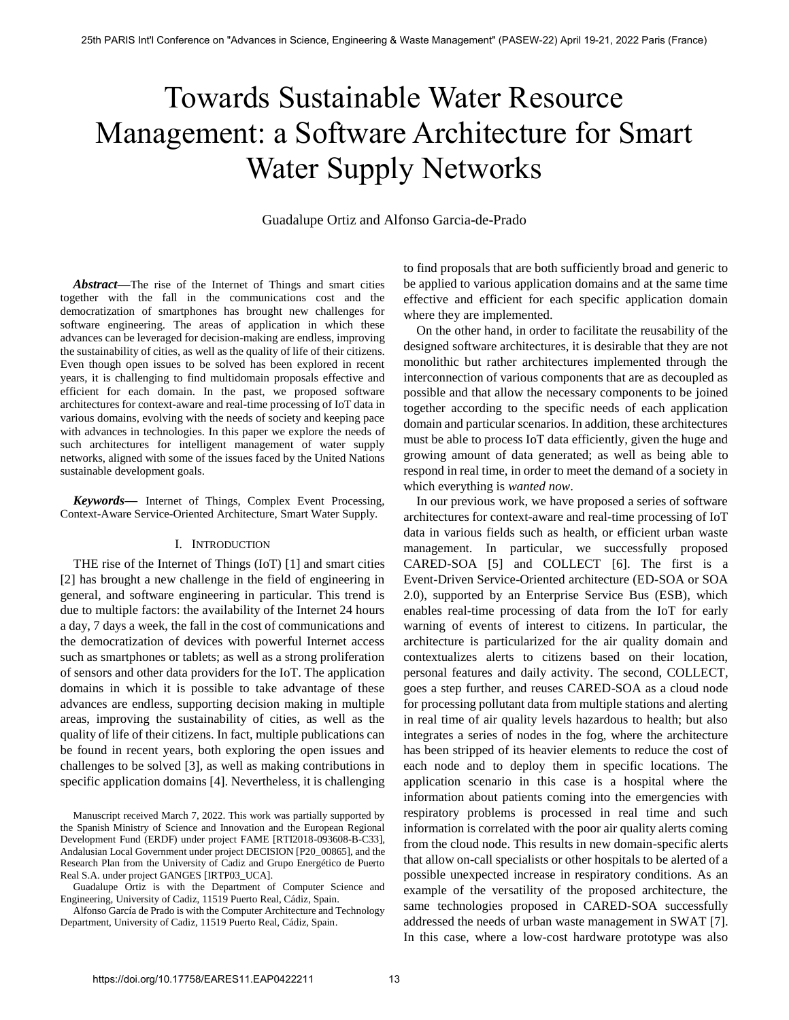# Towards Sustainable Water Resource Management: a Software Architecture for Smart Water Supply Networks

Guadalupe Ortiz and Alfonso Garcia-de-Prado

*Abstract***—**The rise of the Internet of Things and smart cities together with the fall in the communications cost and the democratization of smartphones has brought new challenges for software engineering. The areas of application in which these advances can be leveraged for decision-making are endless, improving the sustainability of cities, as well as the quality of life of their citizens. Even though open issues to be solved has been explored in recent years, it is challenging to find multidomain proposals effective and efficient for each domain. In the past, we proposed software architectures for context-aware and real-time processing of IoT data in various domains, evolving with the needs of society and keeping pace with advances in technologies. In this paper we explore the needs of such architectures for intelligent management of water supply networks, aligned with some of the issues faced by the United Nations sustainable development goals.

*Keywords***—** Internet of Things, Complex Event Processing, Context-Aware Service-Oriented Architecture, Smart Water Supply.

#### I. INTRODUCTION

THE rise of the Internet of Things (IoT) [1] and smart cities [2] has brought a new challenge in the field of engineering in general, and software engineering in particular. This trend is due to multiple factors: the availability of the Internet 24 hours a day, 7 days a week, the fall in the cost of communications and the democratization of devices with powerful Internet access such as smartphones or tablets; as well as a strong proliferation of sensors and other data providers for the IoT. The application domains in which it is possible to take advantage of these advances are endless, supporting decision making in multiple areas, improving the sustainability of cities, as well as the quality of life of their citizens. In fact, multiple publications can be found in recent years, both exploring the open issues and challenges to be solved [3], as well as making contributions in specific application domains [4]. Nevertheless, it is challenging

Guadalupe Ortiz is with the Department of Computer Science and Engineering, University of Cadiz, 11519 Puerto Real, Cádiz, Spain.

to find proposals that are both sufficiently broad and generic to be applied to various application domains and at the same time effective and efficient for each specific application domain where they are implemented.

On the other hand, in order to facilitate the reusability of the designed software architectures, it is desirable that they are not monolithic but rather architectures implemented through the interconnection of various components that are as decoupled as possible and that allow the necessary components to be joined together according to the specific needs of each application domain and particular scenarios. In addition, these architectures must be able to process IoT data efficiently, given the huge and growing amount of data generated; as well as being able to respond in real time, in order to meet the demand of a society in which everything is *wanted now*.

In our previous work, we have proposed a series of software architectures for context-aware and real-time processing of IoT data in various fields such as health, or efficient urban waste management. In particular, we successfully proposed CARED-SOA [5] and COLLECT [6]. The first is a Event-Driven Service-Oriented architecture (ED-SOA or SOA 2.0), supported by an Enterprise Service Bus (ESB), which enables real-time processing of data from the IoT for early warning of events of interest to citizens. In particular, the architecture is particularized for the air quality domain and contextualizes alerts to citizens based on their location, personal features and daily activity. The second, COLLECT, goes a step further, and reuses CARED-SOA as a cloud node for processing pollutant data from multiple stations and alerting in real time of air quality levels hazardous to health; but also integrates a series of nodes in the fog, where the architecture has been stripped of its heavier elements to reduce the cost of each node and to deploy them in specific locations. The application scenario in this case is a hospital where the information about patients coming into the emergencies with respiratory problems is processed in real time and such information is correlated with the poor air quality alerts coming from the cloud node. This results in new domain-specific alerts that allow on-call specialists or other hospitals to be alerted of a possible unexpected increase in respiratory conditions. As an example of the versatility of the proposed architecture, the same technologies proposed in CARED-SOA successfully addressed the needs of urban waste management in SWAT [7]. In this case, where a low-cost hardware prototype was also

Manuscript received March 7, 2022. This work was partially supported by the Spanish Ministry of Science and Innovation and the European Regional Development Fund (ERDF) under project FAME [RTI2018-093608-B-C33], Andalusian Local Government under project DECISION [P20\_00865], and the Research Plan from the University of Cadiz and Grupo Energético de Puerto Real S.A. under project GANGES [IRTP03\_UCA].

Alfonso García de Prado is with the Computer Architecture and Technology Department, University of Cadiz, 11519 Puerto Real, Cádiz, Spain.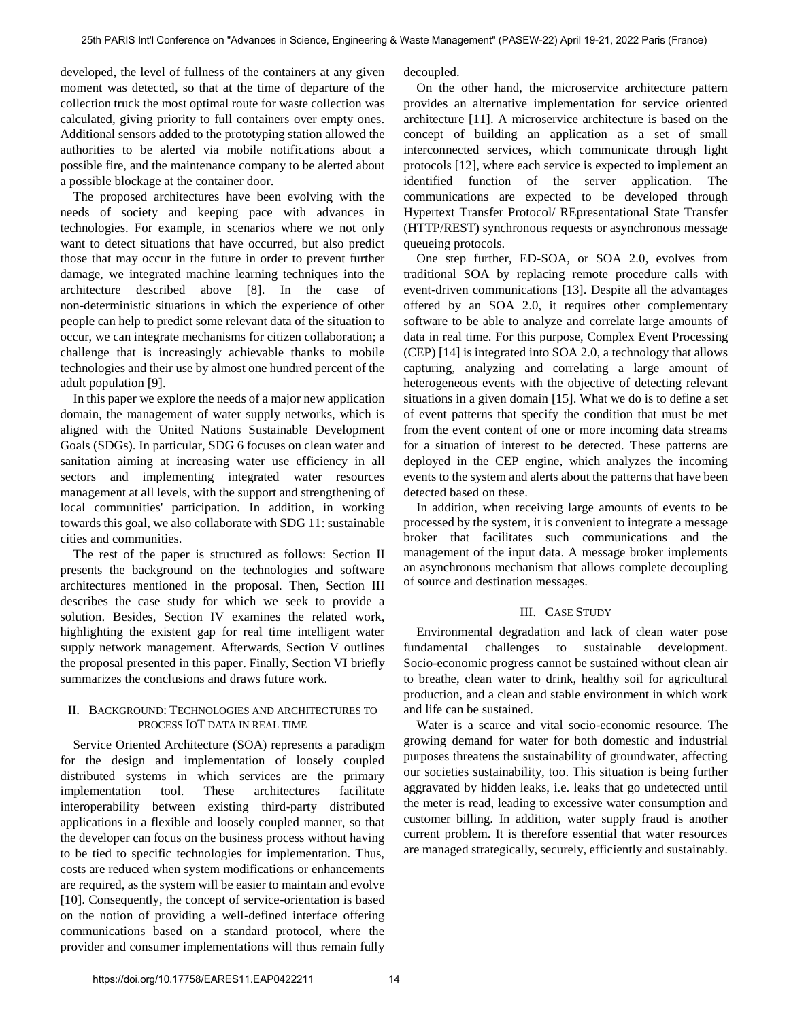developed, the level of fullness of the containers at any given moment was detected, so that at the time of departure of the collection truck the most optimal route for waste collection was calculated, giving priority to full containers over empty ones. Additional sensors added to the prototyping station allowed the authorities to be alerted via mobile notifications about a possible fire, and the maintenance company to be alerted about a possible blockage at the container door.

The proposed architectures have been evolving with the needs of society and keeping pace with advances in technologies. For example, in scenarios where we not only want to detect situations that have occurred, but also predict those that may occur in the future in order to prevent further damage, we integrated machine learning techniques into the architecture described above [8]. In the case of non-deterministic situations in which the experience of other people can help to predict some relevant data of the situation to occur, we can integrate mechanisms for citizen collaboration; a challenge that is increasingly achievable thanks to mobile technologies and their use by almost one hundred percent of the adult population [9].

In this paper we explore the needs of a major new application domain, the management of water supply networks, which is aligned with the United Nations Sustainable Development Goals (SDGs). In particular, SDG 6 focuses on clean water and sanitation aiming at increasing water use efficiency in all sectors and implementing integrated water resources management at all levels, with the support and strengthening of local communities' participation. In addition, in working towards this goal, we also collaborate with SDG 11: sustainable cities and communities.

The rest of the paper is structured as follows: Section II presents the background on the technologies and software architectures mentioned in the proposal. Then, Section III describes the case study for which we seek to provide a solution. Besides, Section IV examines the related work, highlighting the existent gap for real time intelligent water supply network management. Afterwards, Section V outlines the proposal presented in this paper. Finally, Section VI briefly summarizes the conclusions and draws future work.

# II. BACKGROUND: TECHNOLOGIES AND ARCHITECTURES TO PROCESS IOT DATA IN REAL TIME

Service Oriented Architecture (SOA) represents a paradigm for the design and implementation of loosely coupled distributed systems in which services are the primary implementation tool. These architectures facilitate interoperability between existing third-party distributed applications in a flexible and loosely coupled manner, so that the developer can focus on the business process without having to be tied to specific technologies for implementation. Thus, costs are reduced when system modifications or enhancements are required, as the system will be easier to maintain and evolve [10]. Consequently, the concept of service-orientation is based on the notion of providing a well-defined interface offering communications based on a standard protocol, where the provider and consumer implementations will thus remain fully

decoupled.

On the other hand, the microservice architecture pattern provides an alternative implementation for service oriented architecture [11]. A microservice architecture is based on the concept of building an application as a set of small interconnected services, which communicate through light protocols [12], where each service is expected to implement an identified function of the server application. The communications are expected to be developed through Hypertext Transfer Protocol/ REpresentational State Transfer (HTTP/REST) synchronous requests or asynchronous message queueing protocols.

One step further, ED-SOA, or SOA 2.0, evolves from traditional SOA by replacing remote procedure calls with event-driven communications [13]. Despite all the advantages offered by an SOA 2.0, it requires other complementary software to be able to analyze and correlate large amounts of data in real time. For this purpose, Complex Event Processing (CEP) [14] is integrated into SOA 2.0, a technology that allows capturing, analyzing and correlating a large amount of heterogeneous events with the objective of detecting relevant situations in a given domain [15]. What we do is to define a set of event patterns that specify the condition that must be met from the event content of one or more incoming data streams for a situation of interest to be detected. These patterns are deployed in the CEP engine, which analyzes the incoming events to the system and alerts about the patterns that have been detected based on these.

In addition, when receiving large amounts of events to be processed by the system, it is convenient to integrate a message broker that facilitates such communications and the management of the input data. A message broker implements an asynchronous mechanism that allows complete decoupling of source and destination messages.

# III. CASE STUDY

Environmental degradation and lack of clean water pose fundamental challenges to sustainable development. Socio-economic progress cannot be sustained without clean air to breathe, clean water to drink, healthy soil for agricultural production, and a clean and stable environment in which work and life can be sustained.

Water is a scarce and vital socio-economic resource. The growing demand for water for both domestic and industrial purposes threatens the sustainability of groundwater, affecting our societies sustainability, too. This situation is being further aggravated by hidden leaks, i.e. leaks that go undetected until the meter is read, leading to excessive water consumption and customer billing. In addition, water supply fraud is another current problem. It is therefore essential that water resources are managed strategically, securely, efficiently and sustainably.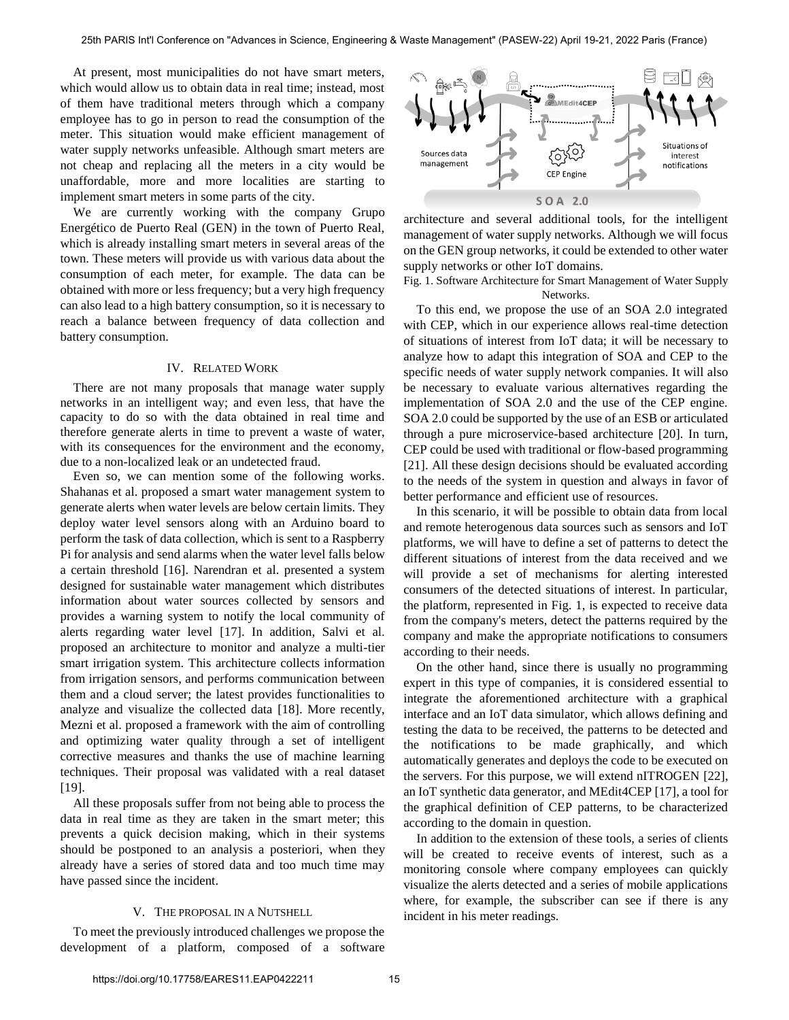At present, most municipalities do not have smart meters, which would allow us to obtain data in real time; instead, most of them have traditional meters through which a company employee has to go in person to read the consumption of the meter. This situation would make efficient management of water supply networks unfeasible. Although smart meters are not cheap and replacing all the meters in a city would be unaffordable, more and more localities are starting to implement smart meters in some parts of the city.

We are currently working with the company Grupo Energético de Puerto Real (GEN) in the town of Puerto Real, which is already installing smart meters in several areas of the town. These meters will provide us with various data about the consumption of each meter, for example. The data can be obtained with more or less frequency; but a very high frequency can also lead to a high battery consumption, so it is necessary to reach a balance between frequency of data collection and battery consumption.

#### IV. RELATED WORK

There are not many proposals that manage water supply networks in an intelligent way; and even less, that have the capacity to do so with the data obtained in real time and therefore generate alerts in time to prevent a waste of water, with its consequences for the environment and the economy, due to a non-localized leak or an undetected fraud.

Even so, we can mention some of the following works. Shahanas et al. proposed a smart water management system to generate alerts when water levels are below certain limits. They deploy water level sensors along with an Arduino board to perform the task of data collection, which is sent to a Raspberry Pi for analysis and send alarms when the water level falls below a certain threshold [16]. Narendran et al. presented a system designed for sustainable water management which distributes information about water sources collected by sensors and provides a warning system to notify the local community of alerts regarding water level [17]. In addition, Salvi et al. proposed an architecture to monitor and analyze a multi-tier smart irrigation system. This architecture collects information from irrigation sensors, and performs communication between them and a cloud server; the latest provides functionalities to analyze and visualize the collected data [18]. More recently, Mezni et al. proposed a framework with the aim of controlling and optimizing water quality through a set of intelligent corrective measures and thanks the use of machine learning techniques. Their proposal was validated with a real dataset [19].

All these proposals suffer from not being able to process the data in real time as they are taken in the smart meter; this prevents a quick decision making, which in their systems should be postponed to an analysis a posteriori, when they already have a series of stored data and too much time may have passed since the incident.

### V. THE PROPOSAL IN A NUTSHELL

To meet the previously introduced challenges we propose the development of a platform, composed of a software



architecture and several additional tools, for the intelligent management of water supply networks. Although we will focus on the GEN group networks, it could be extended to other water supply networks or other IoT domains.

Fig. 1. Software Architecture for Smart Management of Water Supply Networks.

To this end, we propose the use of an SOA 2.0 integrated with CEP, which in our experience allows real-time detection of situations of interest from IoT data; it will be necessary to analyze how to adapt this integration of SOA and CEP to the specific needs of water supply network companies. It will also be necessary to evaluate various alternatives regarding the implementation of SOA 2.0 and the use of the CEP engine. SOA 2.0 could be supported by the use of an ESB or articulated through a pure microservice-based architecture [20]. In turn, CEP could be used with traditional or flow-based programming [21]. All these design decisions should be evaluated according to the needs of the system in question and always in favor of better performance and efficient use of resources.

In this scenario, it will be possible to obtain data from local and remote heterogenous data sources such as sensors and IoT platforms, we will have to define a set of patterns to detect the different situations of interest from the data received and we will provide a set of mechanisms for alerting interested consumers of the detected situations of interest. In particular, the platform, represented in Fig. 1, is expected to receive data from the company's meters, detect the patterns required by the company and make the appropriate notifications to consumers according to their needs.

On the other hand, since there is usually no programming expert in this type of companies, it is considered essential to integrate the aforementioned architecture with a graphical interface and an IoT data simulator, which allows defining and testing the data to be received, the patterns to be detected and the notifications to be made graphically, and which automatically generates and deploys the code to be executed on the servers. For this purpose, we will extend nITROGEN [22], an IoT synthetic data generator, and MEdit4CEP [17], a tool for the graphical definition of CEP patterns, to be characterized according to the domain in question.

In addition to the extension of these tools, a series of clients will be created to receive events of interest, such as a monitoring console where company employees can quickly visualize the alerts detected and a series of mobile applications where, for example, the subscriber can see if there is any incident in his meter readings.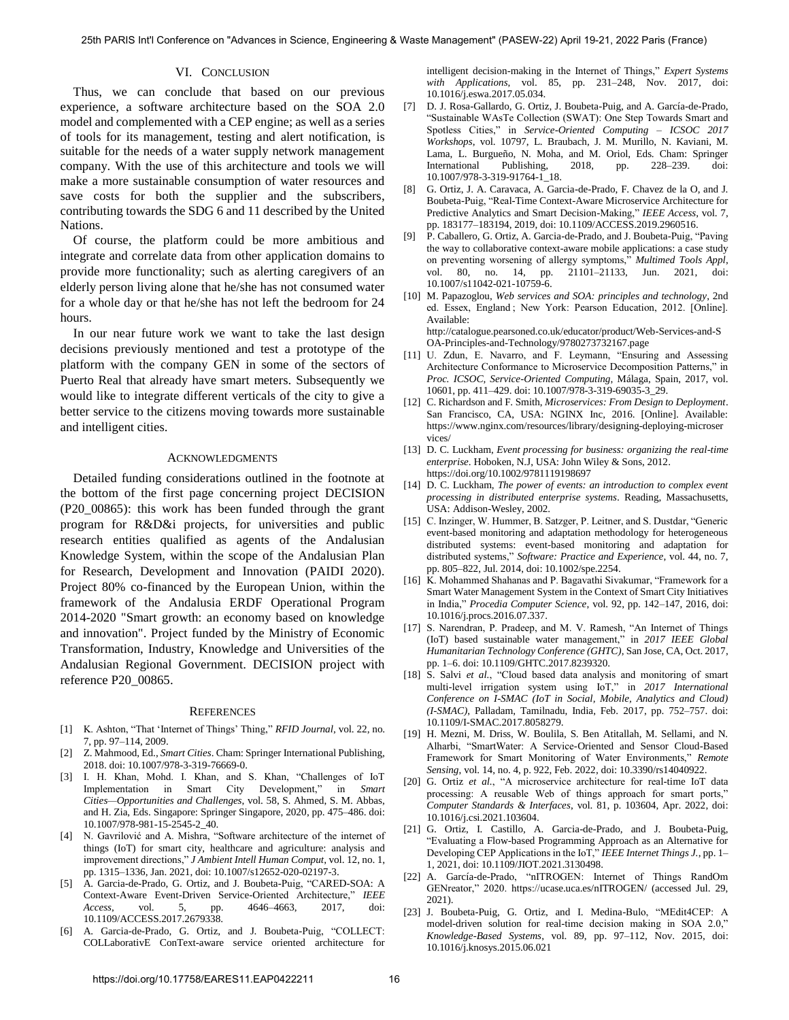### VI. CONCLUSION

Thus, we can conclude that based on our previous experience, a software architecture based on the SOA 2.0 model and complemented with a CEP engine; as well as a series of tools for its management, testing and alert notification, is suitable for the needs of a water supply network management company. With the use of this architecture and tools we will make a more sustainable consumption of water resources and save costs for both the supplier and the subscribers, contributing towards the SDG 6 and 11 described by the United Nations.

Of course, the platform could be more ambitious and integrate and correlate data from other application domains to provide more functionality; such as alerting caregivers of an elderly person living alone that he/she has not consumed water for a whole day or that he/she has not left the bedroom for 24 hours.

In our near future work we want to take the last design decisions previously mentioned and test a prototype of the platform with the company GEN in some of the sectors of Puerto Real that already have smart meters. Subsequently we would like to integrate different verticals of the city to give a better service to the citizens moving towards more sustainable and intelligent cities.

#### ACKNOWLEDGMENTS

Detailed funding considerations outlined in the footnote at the bottom of the first page concerning project DECISION (P20\_00865): this work has been funded through the grant program for R&D&i projects, for universities and public research entities qualified as agents of the Andalusian Knowledge System, within the scope of the Andalusian Plan for Research, Development and Innovation (PAIDI 2020). Project 80% co-financed by the European Union, within the framework of the Andalusia ERDF Operational Program 2014-2020 "Smart growth: an economy based on knowledge and innovation". Project funded by the Ministry of Economic Transformation, Industry, Knowledge and Universities of the Andalusian Regional Government. DECISION project with reference P20\_00865.

#### **REFERENCES**

- [1] K. Ashton, "That "Internet of Things" Thing," *RFID Journal*, vol. 22, no. 7, pp. 97–114, 2009.
- [2] Z. Mahmood, Ed., *Smart Cities*[. Cham: Springer International Publishing,](https://doi.org/10.1007/978-3-319-76669-0)  [2018.](https://doi.org/10.1007/978-3-319-76669-0) doi: 10.1007/978-3-319-76669-0.
- [3] [I. H. Khan, Mohd. I. Khan, and S. Khan, "Challenges of IoT](https://doi.org/10.1007/978-981-15-2545-2_40)  [Implementation in Smart City Development," in](https://doi.org/10.1007/978-981-15-2545-2_40) *Smart [Cities—Opportunities and Challenges](https://doi.org/10.1007/978-981-15-2545-2_40)*, vol. 58, S. Ahmed, S. M. Abbas, [and H. Zia, Eds. Singapore: Springer Singapore, 2020,](https://doi.org/10.1007/978-981-15-2545-2_40) pp. 475–486. doi: 10.1007/978-981-15-2545-2\_40.
- [4] [N. Gavrilović and A. Mishra, "Software architecture of the internet of](https://doi.org/10.1007/s12652-020-02197-3)  [things \(IoT\) for smart city, healthcare and agriculture: analysis and](https://doi.org/10.1007/s12652-020-02197-3)  improvement directions," *[J Ambient Intell Human Comput](https://doi.org/10.1007/s12652-020-02197-3)*, vol. 12, no. 1, [pp. 1315–1336, Jan. 2021,](https://doi.org/10.1007/s12652-020-02197-3) doi: 10.1007/s12652-020-02197-3.
- [5] [A. Garcia-de-Prado, G. Ortiz, and J. Boubeta-Puig, "CARED-SOA: A](https://doi.org/10.1109/ACCESS.2017.2679338)  [Context-Aware Event-Driven Service-Oriented Architecture,"](https://doi.org/10.1109/ACCESS.2017.2679338) *IEEE Access*[, vol. 5, pp. 4646–4663, 2017,](https://doi.org/10.1109/ACCESS.2017.2679338) doi: 10.1109/ACCESS.2017.2679338.
- [6] [A. Garcia-de-Prado, G. Ortiz, and J. Boubeta-Puig, "COLLECT:](https://doi.org/10.1016/j.eswa.2017.05.034)  [COLLaborativE ConText-aware service oriented architecture for](https://doi.org/10.1016/j.eswa.2017.05.034)

[intelligent decision-making in the Internet of Things,"](https://doi.org/10.1016/j.eswa.2017.05.034) *Expert Systems with Applications*[, vol. 85, pp. 231–248, Nov. 2017,](https://doi.org/10.1016/j.eswa.2017.05.034) doi: 10.1016/j.eswa.2017.05.034.

- [7] [D. J. Rosa-Gallardo, G. Ortiz, J. Boubeta-Puig, and A. García-de-Prado,](https://doi.org/10.1007/978-3-319-91764-1_18)  ["Sustainable WAsTe Collection \(SWAT\): One Step Towards Smart and](https://doi.org/10.1007/978-3-319-91764-1_18)  Spotless Cities," in *[Service-Oriented Computing – ICSOC 2017](https://doi.org/10.1007/978-3-319-91764-1_18)  Workshops*[, vol. 10797, L. Braubach, J. M. Murillo, N. Kaviani, M.](https://doi.org/10.1007/978-3-319-91764-1_18)  [Lama, L. Burgueño, N. Moha, and M. Oriol, Eds. Cham: Springer](https://doi.org/10.1007/978-3-319-91764-1_18)  [International Publishing, 2018,](https://doi.org/10.1007/978-3-319-91764-1_18) pp. 228–239. doi: 10.1007/978-3-319-91764-1\_18.
- [8] [G. Ortiz, J. A. Caravaca, A. Garcia-de-Prado, F. Chavez de la O, and J.](https://doi.org/10.1109/ACCESS.2019.2960516)  [Boubeta-Puig, "Real-Time Context-Aware Microservice Architecture for](https://doi.org/10.1109/ACCESS.2019.2960516)  [Predictive Analytics and Smart Decision-Making,"](https://doi.org/10.1109/ACCESS.2019.2960516) *IEEE Access*, vol. 7, pp. 183177–183194, 2019, doi: 10.1109/ACCESS.2019.2960516.
- [9] [P. Caballero, G. Ortiz, A. Garcia-de-Prado, and J. Boubeta-Puig, "Paving](https://doi.org/10.1007/s11042-021-10759-6)  [the way to collaborative context-aware mobile applications: a case study](https://doi.org/10.1007/s11042-021-10759-6)  [on preventing worsening of allergy symptoms,"](https://doi.org/10.1007/s11042-021-10759-6) *Multimed Tools Appl*, [vol. 80, no. 14, pp. 21101–21133, Jun. 2021,](https://doi.org/10.1007/s11042-021-10759-6) doi: 10.1007/s11042-021-10759-6.
- [10] M. Papazoglou, *Web services and SOA: principles and technology*, 2nd ed. Essex, England ; New York: Pearson Education, 2012. [Online]. Available: http://catalogue.pearsoned.co.uk/educator/product/Web-Services-and-S OA-Principles-and-Technology/9780273732167.page
- [11] [U. Zdun, E. Navarro, and F. Leymann, "Ensuring and Assessing](https://doi.org/10.1007/978-3-319-69035-3_29)  [Architecture Conformance to Microservice Decomposition Patterns," in](https://doi.org/10.1007/978-3-319-69035-3_29)  *[Proc. ICSOC, Service-Oriented Computing](https://doi.org/10.1007/978-3-319-69035-3_29)*, Málaga, Spain, 2017, vol. 10601, pp. 411–429. doi: 10.1007/978-3-319-69035-3\_29.
- [12] C. Richardson and F. Smith, *Microservices: From Design to Deployment*. San Francisco, CA, USA: NGINX Inc, 2016. [Online]. Available: https://www.nginx.com/resources/library/designing-deploying-microser vices/
- [13] D. C. Luckham, *[Event processing for business: organizing the real-time](https://doi.org/10.1002/9781119198697)  enterprise*[. Hoboken, N.J, USA: John Wiley & Sons, 2012.](https://doi.org/10.1002/9781119198697)  https://doi.org/10.1002/9781119198697
- [14] D. C. Luckham, *The power of events: an introduction to complex event processing in distributed enterprise systems*. Reading, Massachusetts, USA: Addison-Wesley, 2002.
- [15] C. Inzinger, W. Hummer, B. Satzger, P. Leitner, and S. Dustdar, "Generic [event-based monitoring and adaptation methodology for heterogeneous](https://doi.org/10.1002/spe.2254)  [distributed systems: event-based monitoring and adaptation for](https://doi.org/10.1002/spe.2254)  distributed systems," *[Software: Practice and Experience](https://doi.org/10.1002/spe.2254)*, vol. 44, no. 7, [pp. 805–822, Jul. 2014,](https://doi.org/10.1002/spe.2254) doi: 10.1002/spe.2254.
- [16] K. Mohammed Shahanas and P. Bagavathi Sivakumar, "Framework for a [Smart Water Management System in the Context of Smart City Initiatives](https://doi.org/10.1016/j.procs.2016.07.337)  in India," *Procedia Computer Science*[, vol. 92, pp. 142–147, 2016,](https://doi.org/10.1016/j.procs.2016.07.337) doi: 10.1016/j.procs.2016.07.337.
- [17] [S. Narendran, P. Pradeep, and M. V. Ramesh, "An Internet of Things](https://doi.org/10.1109/GHTC.2017.8239320)  [\(IoT\) based sustainable water management," in](https://doi.org/10.1109/GHTC.2017.8239320) *2017 IEEE Global [Humanitarian Technology Conference \(GHTC\)](https://doi.org/10.1109/GHTC.2017.8239320)*, San Jose, CA, Oct. 2017, pp. 1–6. doi: 10.1109/GHTC.2017.8239320.
- [18] S. Salvi et al., "Cloud based data analysis and monitoring of smart [multi-level irrigation system using IoT," in](https://doi.org/10.1109/I-SMAC.2017.8058279) *2017 International [Conference on I-SMAC \(IoT in Social, Mobile, Analytics and Cloud\)](https://doi.org/10.1109/I-SMAC.2017.8058279)  (I-SMAC)*[, Palladam, Tamilnadu, India, Feb. 2017,](https://doi.org/10.1109/I-SMAC.2017.8058279) pp. 752–757. doi: 10.1109/I-SMAC.2017.8058279.
- [19] [H. Mezni, M. Driss, W. Boulila, S. Ben Atitallah, M. Sellami, and N.](https://doi.org/10.3390/rs14040922)  [Alharbi, "SmartWater: A Service-Oriented and Sensor Cloud-Based](https://doi.org/10.3390/rs14040922)  [Framework for Smart Monitoring of Water Environments,"](https://doi.org/10.3390/rs14040922) *Remote Sensing*[, vol. 14, no. 4, p. 922, Feb. 2022,](https://doi.org/10.3390/rs14040922) doi: 10.3390/rs14040922.
- [20] G. Ortiz *et al.*, "A microservice architecture for real-time IoT data [processing: A reusable Web of things approach for smart ports,"](https://doi.org/10.1016/j.csi.2021.103604)  *[Computer Standards & Interfaces](https://doi.org/10.1016/j.csi.2021.103604)*, vol. 81, p. 103604, Apr. 2022, doi: 10.1016/j.csi.2021.103604.
- [21] [G. Ortiz, I. Castillo, A. Garcia-de-Prado, and J. Boubeta-Puig,](https://doi.org/10.1109/JIOT.2021.3130498)  ["Evaluating a Flow-based Programming Approach as an Alternative for](https://doi.org/10.1109/JIOT.2021.3130498)  [Developing CEP Applications in the IoT,"](https://doi.org/10.1109/JIOT.2021.3130498) *IEEE Internet Things J.*, pp. 1– [1, 2021,](https://doi.org/10.1109/JIOT.2021.3130498) doi: 10.1109/JIOT.2021.3130498.
- [22] A. García-de-Prado, "nITROGEN: Internet of Things RandOm GENreator," 2020. https://ucase.uca.es/nITROGEN/ (accessed Jul. 29, 2021).
- [23] [J. Boubeta-Puig, G. Ortiz, and I. Medina-Bulo, "MEdit4CEP: A](https://doi.org/10.1016/j.knosys.2015.06.021)  [model-driven solution for real-time decision making in SOA 2.0,"](https://doi.org/10.1016/j.knosys.2015.06.021)  *Knowledge-Based Systems*[, vol. 89, pp. 97–112, Nov. 2015,](https://doi.org/10.1016/j.knosys.2015.06.021) doi: 10.1016/j.knosys.2015.06.021